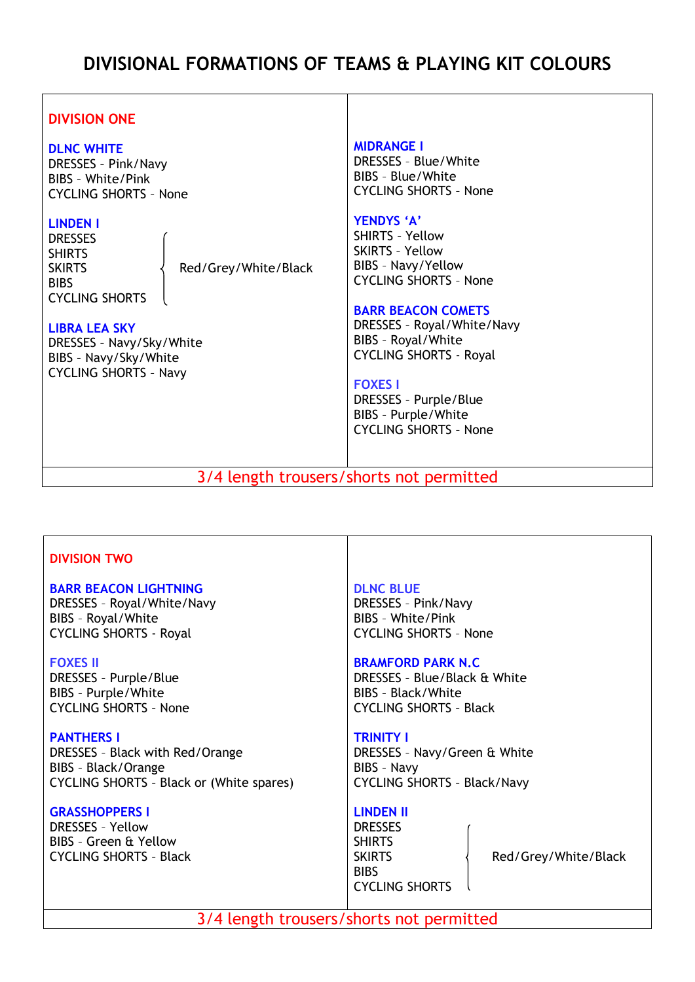# **DIVISIONAL FORMATIONS OF TEAMS & PLAYING KIT COLOURS**

#### **DIVISION ONE DLNC WHITE** DRESSES – Pink/Navy BIBS – White/Pink CYCLING SHORTS – None **LINDEN I DRESSES SHIRTS** SKIRTS  $\langle$  Red/Grey/White/Black **BIBS** CYCLING SHORTS **LIBRA LEA SKY** DRESSES – Navy/Sky/White BIBS – Navy/Sky/White CYCLING SHORTS – Navy **MIDRANGE I** DRESSES – Blue/White BIBS – Blue/White CYCLING SHORTS – None **YENDYS 'A'** SHIRTS – Yellow SKIRTS – Yellow BIBS – Navy/Yellow CYCLING SHORTS – None **BARR BEACON COMETS** DRESSES – Royal/White/Navy BIBS – Royal/White CYCLING SHORTS - Royal **FOXES I** DRESSES – Purple/Blue BIBS – Purple/White CYCLING SHORTS – None

3/4 length trousers/shorts not permitted

# **DIVISION TWO**

### **BARR BEACON LIGHTNING**

DRESSES – Royal/White/Navy BIBS – Royal/White CYCLING SHORTS - Royal

### **FOXES II**

DRESSES – Purple/Blue BIBS – Purple/White CYCLING SHORTS – None

### **PANTHERS I**

DRESSES – Black with Red/Orange BIBS – Black/Orange CYCLING SHORTS – Black or (White spares)

### **GRASSHOPPERS I**

DRESSES – Yellow BIBS – Green & Yellow CYCLING SHORTS – Black

### **DLNC BLUE**

DRESSES – Pink/Navy BIBS – White/Pink CYCLING SHORTS – None

### **BRAMFORD PARK N.C**

DRESSES – Blue/Black & White BIBS – Black/White CYCLING SHORTS – Black

### **TRINITY I**

DRESSES – Navy/Green & White BIBS – Navy CYCLING SHORTS – Black/Navy

# **LINDEN II**

DRESSES SHIRTS BIBS CYCLING SHORTS

SKIRTS  $\{$  Red/Grey/White/Black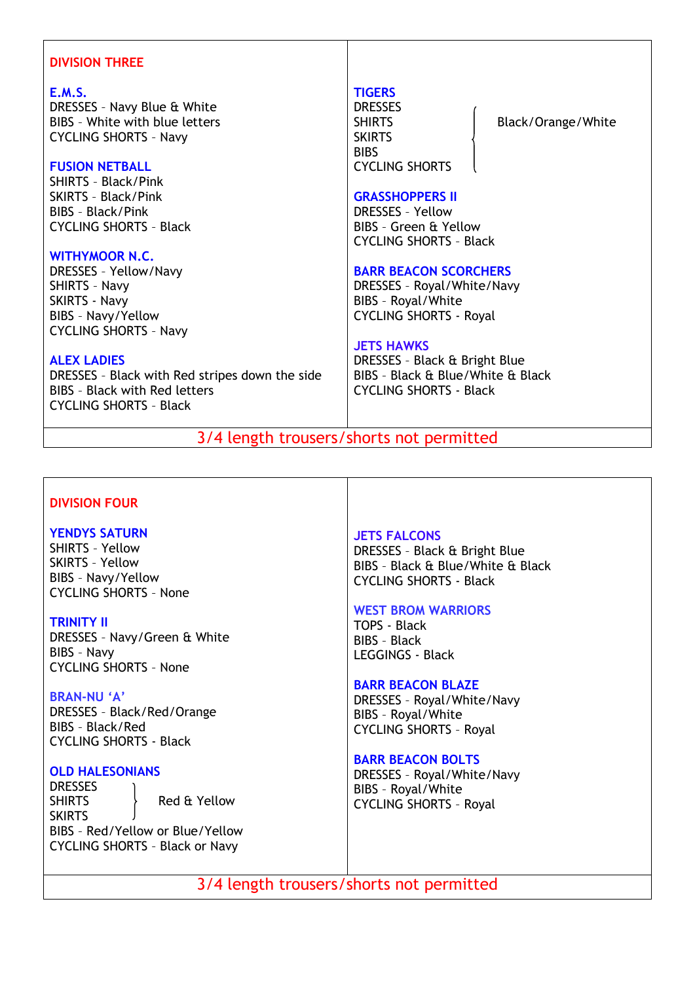# **DIVISION THREE**

### **E.M.S.**

DRESSES – Navy Blue & White BIBS – White with blue letters CYCLING SHORTS – Navy

### **FUSION NETBALL**

SHIRTS – Black/Pink SKIRTS – Black/Pink BIBS – Black/Pink CYCLING SHORTS – Black

### **WITHYMOOR N.C.**

DRESSES – Yellow/Navy SHIRTS – Navy SKIRTS - Navy BIBS – Navy/Yellow CYCLING SHORTS – Navy

# **ALEX LADIES**

DRESSES – Black with Red stripes down the side BIBS – Black with Red letters CYCLING SHORTS – Black

### **TIGERS**

DRESSES **SKIRTS BIBS** CYCLING SHORTS

SHIRTS | Black/Orange/White

#### **GRASSHOPPERS II**

DRESSES – Yellow BIBS – Green & Yellow CYCLING SHORTS – Black

### **BARR BEACON SCORCHERS**

DRESSES – Royal/White/Navy BIBS – Royal/White CYCLING SHORTS - Royal

### **JETS HAWKS**

DRESSES – Black & Bright Blue BIBS – Black & Blue/White & Black CYCLING SHORTS - Black

# 3/4 length trousers/shorts not permitted

# **DIVISION FOUR**

# **YENDYS SATURN**

SHIRTS – Yellow SKIRTS – Yellow BIBS – Navy/Yellow CYCLING SHORTS – None

### **TRINITY II**

DRESSES – Navy/Green & White BIBS – Navy CYCLING SHORTS – None

### **BRAN-NU 'A'**

DRESSES – Black/Red/Orange BIBS – Black/Red CYCLING SHORTS - Black

### **OLD HALESONIANS**

DRESSES SHIRTS Red & Yellow SKIRTS BIBS – Red/Yellow or Blue/Yellow CYCLING SHORTS – Black or Navy

# **JETS FALCONS**

DRESSES – Black & Bright Blue BIBS – Black & Blue/White & Black CYCLING SHORTS - Black

#### **WEST BROM WARRIORS**

TOPS - Black BIBS – Black LEGGINGS - Black

### **BARR BEACON BLAZE**

DRESSES – Royal/White/Navy BIBS – Royal/White CYCLING SHORTS – Royal

### **BARR BEACON BOLTS**

DRESSES – Royal/White/Navy BIBS – Royal/White CYCLING SHORTS – Royal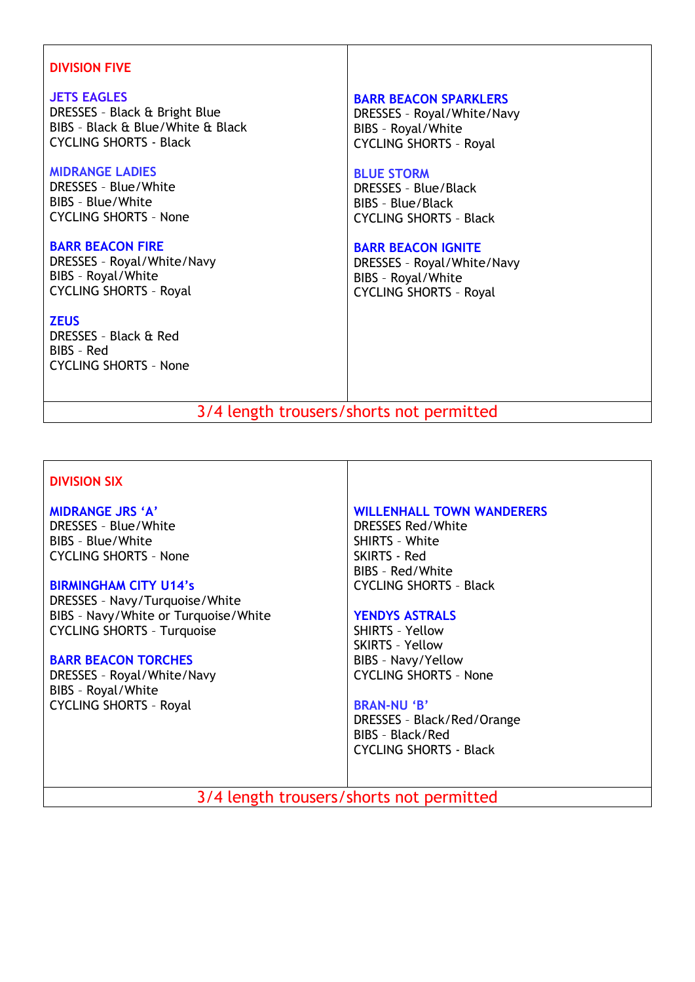# **DIVISION FIVE**

### **JETS EAGLES**

DRESSES – Black & Bright Blue BIBS – Black & Blue/White & Black CYCLING SHORTS - Black

# **MIDRANGE LADIES**

DRESSES – Blue/White BIBS – Blue/White CYCLING SHORTS – None

# **BARR BEACON FIRE**

DRESSES – Royal/White/Navy BIBS – Royal/White CYCLING SHORTS – Royal

**ZEUS** DRESSES – Black & Red BIBS – Red CYCLING SHORTS – None

### **BARR BEACON SPARKLERS**

DRESSES – Royal/White/Navy BIBS – Royal/White CYCLING SHORTS – Royal

### **BLUE STORM**

DRESSES – Blue/Black BIBS – Blue/Black CYCLING SHORTS – Black

# **BARR BEACON IGNITE**

DRESSES – Royal/White/Navy BIBS – Royal/White CYCLING SHORTS – Royal

3/4 length trousers/shorts not permitted

# **DIVISION SIX**

**MIDRANGE JRS 'A'** DRESSES – Blue/White BIBS – Blue/White CYCLING SHORTS – None

# **BIRMINGHAM CITY U14's**

DRESSES – Navy/Turquoise/White BIBS – Navy/White or Turquoise/White CYCLING SHORTS – Turquoise

# **BARR BEACON TORCHES**

DRESSES – Royal/White/Navy BIBS – Royal/White CYCLING SHORTS – Royal

# **WILLENHALL TOWN WANDERERS**

DRESSES Red/White SHIRTS – White SKIRTS - Red BIBS – Red/White CYCLING SHORTS – Black

# **YENDYS ASTRALS**

SHIRTS – Yellow SKIRTS – Yellow BIBS – Navy/Yellow CYCLING SHORTS – None

### **BRAN-NU 'B'**

DRESSES – Black/Red/Orange BIBS – Black/Red CYCLING SHORTS - Black